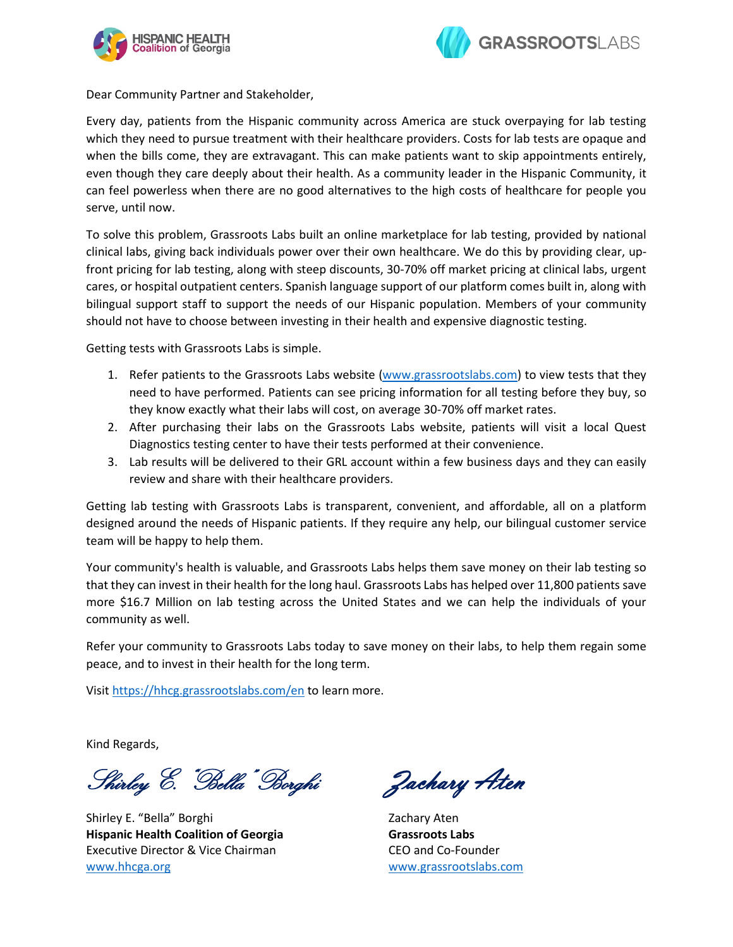



Dear Community Partner and Stakeholder,

Every day, patients from the Hispanic community across America are stuck overpaying for lab testing which they need to pursue treatment with their healthcare providers. Costs for lab tests are opaque and when the bills come, they are extravagant. This can make patients want to skip appointments entirely, even though they care deeply about their health. As a community leader in the Hispanic Community, it can feel powerless when there are no good alternatives to the high costs of healthcare for people you serve, until now.

To solve this problem, Grassroots Labs built an online marketplace for lab testing, provided by national clinical labs, giving back individuals power over their own healthcare. We do this by providing clear, upfront pricing for lab testing, along with steep discounts, 30-70% off market pricing at clinical labs, urgent cares, or hospital outpatient centers. Spanish language support of our platform comes built in, along with bilingual support staff to support the needs of our Hispanic population. Members of your community should not have to choose between investing in their health and expensive diagnostic testing.

Getting tests with Grassroots Labs is simple.

- 1. Refer patients to the Grassroots Labs website [\(www.grassrootslabs.com\)](http://www.grassrootslabs.com/) to view tests that they need to have performed. Patients can see pricing information for all testing before they buy, so they know exactly what their labs will cost, on average 30-70% off market rates.
- 2. After purchasing their labs on the Grassroots Labs website, patients will visit a local Quest Diagnostics testing center to have their tests performed at their convenience.
- 3. Lab results will be delivered to their GRL account within a few business days and they can easily review and share with their healthcare providers.

Getting lab testing with Grassroots Labs is transparent, convenient, and affordable, all on a platform designed around the needs of Hispanic patients. If they require any help, our bilingual customer service team will be happy to help them.

Your community's health is valuable, and Grassroots Labs helps them save money on their lab testing so that they can invest in their health for the long haul. Grassroots Labs has helped over 11,800 patients save more \$16.7 Million on lab testing across the United States and we can help the individuals of your community as well.

Refer your community to Grassroots Labs today to save money on their labs, to help them regain some peace, and to invest in their health for the long term.

Visit<https://hhcg.grassrootslabs.com/en> to learn more.

Kind Regards,

Shirley E. "Bella" Borghi Zachary Aten

Shirley E. "Bella" Borghi **Hispanic Health Coalition of Georgia**  Executive Director & Vice Chairman [www.hhcga.org](http://www.hhcga.org/)

Zachary Aten **Grassroots Labs** CEO and Co-Founder [www.grassrootslabs.com](http://www.grassrootslabs.com/)